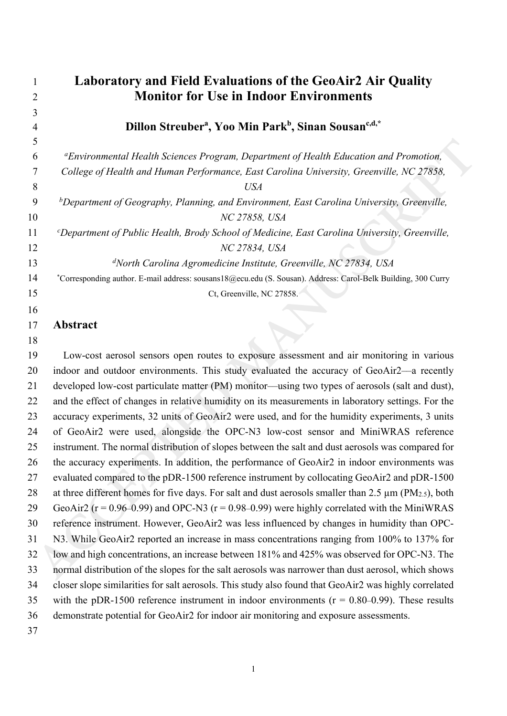|    | <b>Laboratory and Field Evaluations of the GeoAir2 Air Quality</b>                                            |
|----|---------------------------------------------------------------------------------------------------------------|
|    | <b>Monitor for Use in Indoor Environments</b>                                                                 |
| 3  |                                                                                                               |
|    | Dillon Streuber <sup>a</sup> , Yoo Min Park <sup>b</sup> , Sinan Sousan <sup>c,d,*</sup>                      |
| 5  |                                                                                                               |
| 6  | <sup>a</sup> Environmental Health Sciences Program, Department of Health Education and Promotion,             |
|    | College of Health and Human Performance, East Carolina University, Greenville, NC 27858,                      |
| 8  | <i>USA</i>                                                                                                    |
| 9  | ${}^b$ Department of Geography, Planning, and Environment, East Carolina University, Greenville,              |
| 10 | NC 27858, USA                                                                                                 |
| 11 | <i>Compartment of Public Health, Brody School of Medicine, East Carolina University, Greenville,</i>          |
| 12 | NC 27834, USA                                                                                                 |
| 13 | $d$ North Carolina Agromedicine Institute, Greenville, NC 27834, USA                                          |
| 14 | *Corresponding author. E-mail address: sousans18@ecu.edu (S. Sousan). Address: Carol-Belk Building, 300 Curry |
| 15 | Ct, Greenville, NC 27858.                                                                                     |
| 16 |                                                                                                               |
| 17 | Abstract                                                                                                      |

5<br> **ACCES (Figure 2018)** Content Health Sciences Program. Department of Health Education and Promotion,<br>
Tollege of Fleath and Fluman Performance, Fast Carolina University, Greenville, NC 27888,<br> **ACCEPTED MANUSCAL CALCE (** 19 Low-cost aerosol sensors open routes to exposure assessment and air monitoring in various 20 indoor and outdoor environments. This study evaluated the accuracy of GeoAir2—a recently 21 developed low-cost particulate matter (PM) monitor––using two types of aerosols (salt and dust), 22 and the effect of changes in relative humidity on its measurements in laboratory settings. For the 23 accuracy experiments, 32 units of GeoAir2 were used, and for the humidity experiments, 3 units 24 of GeoAir2 were used, alongside the OPC-N3 low-cost sensor and MiniWRAS reference 25 instrument. The normal distribution of slopes between the salt and dust aerosols was compared for 26 the accuracy experiments. In addition, the performance of GeoAir2 in indoor environments was 27 evaluated compared to the pDR-1500 reference instrument by collocating GeoAir2 and pDR-1500 28 at three different homes for five days. For salt and dust aerosols smaller than 2.5  $\mu$ m (PM<sub>2.5</sub>), both 29 GeoAir2 ( $r = 0.96-0.99$ ) and OPC-N3 ( $r = 0.98-0.99$ ) were highly correlated with the MiniWRAS 30 reference instrument. However, GeoAir2 was less influenced by changes in humidity than OPC-31 N3. While GeoAir2 reported an increase in mass concentrations ranging from 100% to 137% for 32 low and high concentrations, an increase between 181% and 425% was observed for OPC-N3. The 33 normal distribution of the slopes for the salt aerosols was narrower than dust aerosol, which shows 34 closer slope similarities for salt aerosols. This study also found that GeoAir2 was highly correlated 35 with the pDR-1500 reference instrument in indoor environments  $(r = 0.80 - 0.99)$ . These results 36 demonstrate potential for GeoAir2 for indoor air monitoring and exposure assessments. 37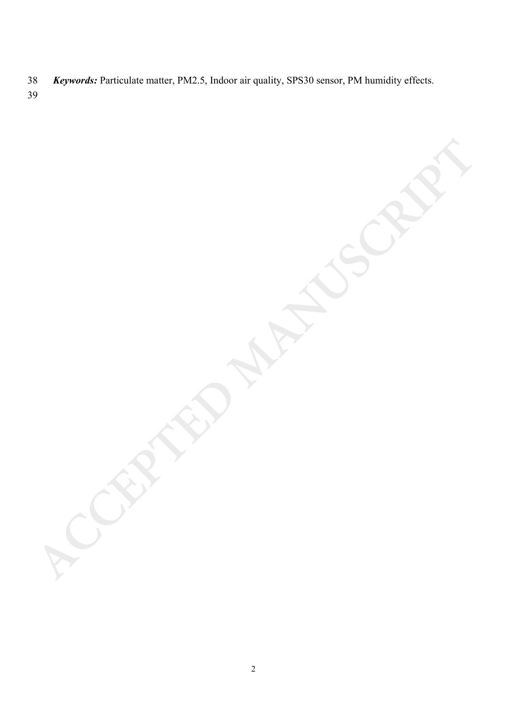- *Keywords:* Particulate matter, PM2.5, Indoor air quality, SPS30 sensor, PM humidity effects.
- 

**ACCEPTED MANUSCRIPT**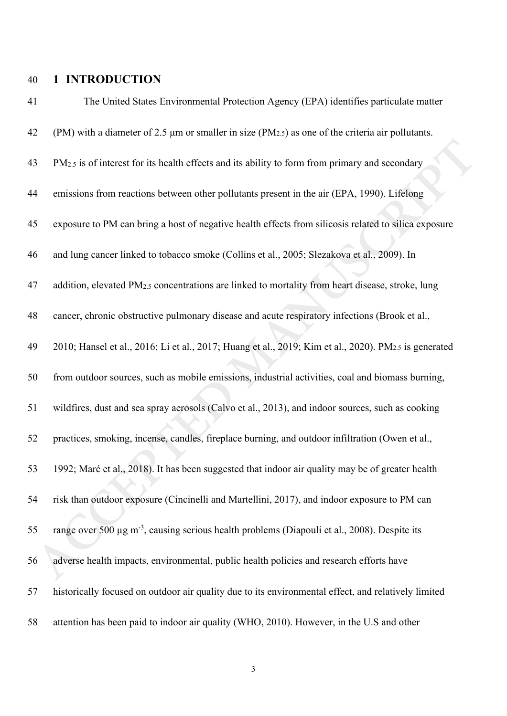## 40 **1 INTRODUCTION**

| 41 | The United States Environmental Protection Agency (EPA) identifies particulate matter                        |
|----|--------------------------------------------------------------------------------------------------------------|
| 42 | (PM) with a diameter of 2.5 $\mu$ m or smaller in size (PM $_{2.5}$ ) as one of the criteria air pollutants. |
| 43 | PM <sub>2.5</sub> is of interest for its health effects and its ability to form from primary and secondary   |
| 44 | emissions from reactions between other pollutants present in the air (EPA, 1990). Lifelong                   |
| 45 | exposure to PM can bring a host of negative health effects from silicosis related to silica exposure         |
| 46 | and lung cancer linked to tobacco smoke (Collins et al., 2005; Slezakova et al., 2009). In                   |
| 47 | addition, elevated PM <sub>2.5</sub> concentrations are linked to mortality from heart disease, stroke, lung |
| 48 | cancer, chronic obstructive pulmonary disease and acute respiratory infections (Brook et al.,                |
| 49 | 2010; Hansel et al., 2016; Li et al., 2017; Huang et al., 2019; Kim et al., 2020). PM2.5 is generated        |
| 50 | from outdoor sources, such as mobile emissions, industrial activities, coal and biomass burning,             |
| 51 | wildfires, dust and sea spray aerosols (Calvo et al., 2013), and indoor sources, such as cooking             |
| 52 | practices, smoking, incense, candles, fireplace burning, and outdoor infiltration (Owen et al.,              |
| 53 | 1992; Marć et al., 2018). It has been suggested that indoor air quality may be of greater health             |
| 54 | risk than outdoor exposure (Cincinelli and Martellini, 2017), and indoor exposure to PM can                  |
| 55 | range over 500 μg m <sup>-3</sup> , causing serious health problems (Diapouli et al., 2008). Despite its     |
| 56 | adverse health impacts, environmental, public health policies and research efforts have                      |
| 57 | historically focused on outdoor air quality due to its environmental effect, and relatively limited          |
| 58 | attention has been paid to indoor air quality (WHO, 2010). However, in the U.S and other                     |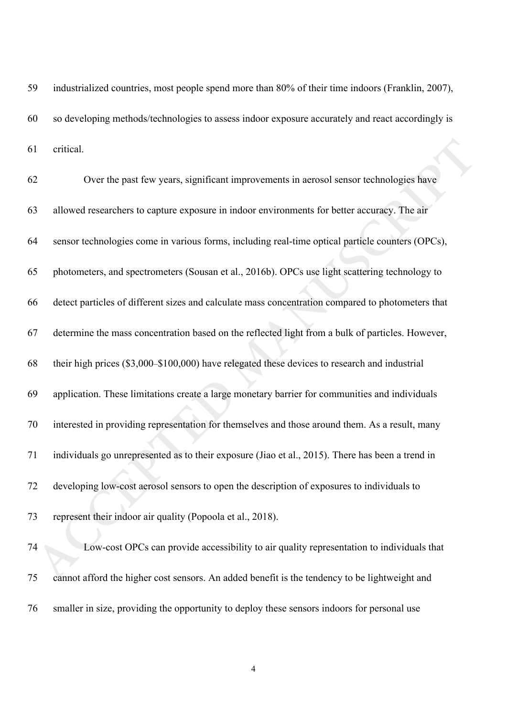59 industrialized countries, most people spend more than 80% of their time indoors (Franklin, 2007), 60 so developing methods/technologies to assess indoor exposure accurately and react accordingly is 61 critical.

| 61 | critical.                                                                                         |
|----|---------------------------------------------------------------------------------------------------|
| 62 | Over the past few years, significant improvements in aerosol sensor technologies have             |
| 63 | allowed researchers to capture exposure in indoor environments for better accuracy. The air       |
| 64 | sensor technologies come in various forms, including real-time optical particle counters (OPCs),  |
| 65 | photometers, and spectrometers (Sousan et al., 2016b). OPCs use light scattering technology to    |
| 66 | detect particles of different sizes and calculate mass concentration compared to photometers that |
| 67 | determine the mass concentration based on the reflected light from a bulk of particles. However,  |
| 68 | their high prices (\$3,000–\$100,000) have relegated these devices to research and industrial     |
| 69 | application. These limitations create a large monetary barrier for communities and individuals    |
| 70 | interested in providing representation for themselves and those around them. As a result, many    |
| 71 | individuals go unrepresented as to their exposure (Jiao et al., 2015). There has been a trend in  |
| 72 | developing low-cost aerosol sensors to open the description of exposures to individuals to        |
| 73 | represent their indoor air quality (Popoola et al., 2018).                                        |
| 74 | Low-cost OPCs can provide accessibility to air quality representation to individuals that         |
| 75 | cannot afford the higher cost sensors. An added benefit is the tendency to be lightweight and     |

75 cannot afford the higher cost sensors. An added benefit is the tendency to be lightweight and 76 smaller in size, providing the opportunity to deploy these sensors indoors for personal use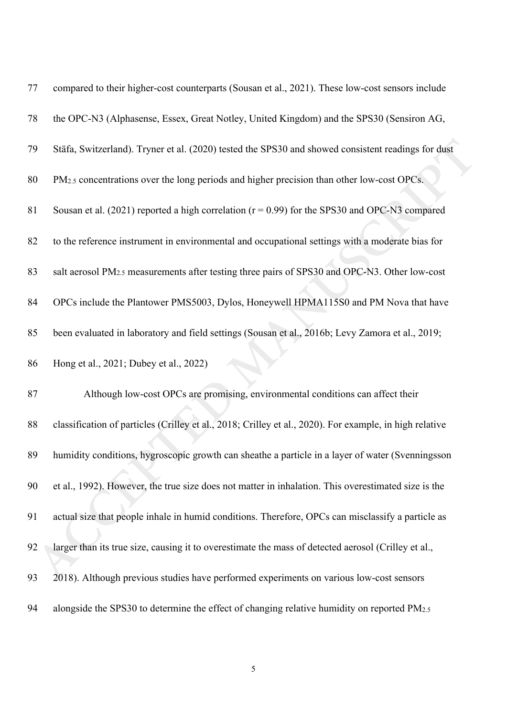| 77 | compared to their higher-cost counterparts (Sousan et al., 2021). These low-cost sensors include          |
|----|-----------------------------------------------------------------------------------------------------------|
| 78 | the OPC-N3 (Alphasense, Essex, Great Notley, United Kingdom) and the SPS30 (Sensiron AG,                  |
| 79 | Stäfa, Switzerland). Tryner et al. (2020) tested the SPS30 and showed consistent readings for dust        |
| 80 | PM <sub>2.5</sub> concentrations over the long periods and higher precision than other low-cost OPCs.     |
| 81 | Sousan et al. (2021) reported a high correlation ( $r = 0.99$ ) for the SPS30 and OPC-N3 compared         |
| 82 | to the reference instrument in environmental and occupational settings with a moderate bias for           |
| 83 | salt aerosol PM <sub>2.5</sub> measurements after testing three pairs of SPS30 and OPC-N3. Other low-cost |
| 84 | OPCs include the Plantower PMS5003, Dylos, Honeywell HPMA115S0 and PM Nova that have                      |
| 85 | been evaluated in laboratory and field settings (Sousan et al., 2016b; Levy Zamora et al., 2019;          |
| 86 | Hong et al., 2021; Dubey et al., 2022)                                                                    |
| 87 | Although low-cost OPCs are promising, environmental conditions can affect their                           |
| 88 | classification of particles (Crilley et al., 2018; Crilley et al., 2020). For example, in high relative   |
| 89 | humidity conditions, hygroscopic growth can sheathe a particle in a layer of water (Svenningsson          |
| 90 | et al., 1992). However, the true size does not matter in inhalation. This overestimated size is the       |
| 91 | actual size that people inhale in humid conditions. Therefore, OPCs can misclassify a particle as         |
| 92 |                                                                                                           |
|    | larger than its true size, causing it to overestimate the mass of detected aerosol (Crilley et al.,       |
| 93 | 2018). Although previous studies have performed experiments on various low-cost sensors                   |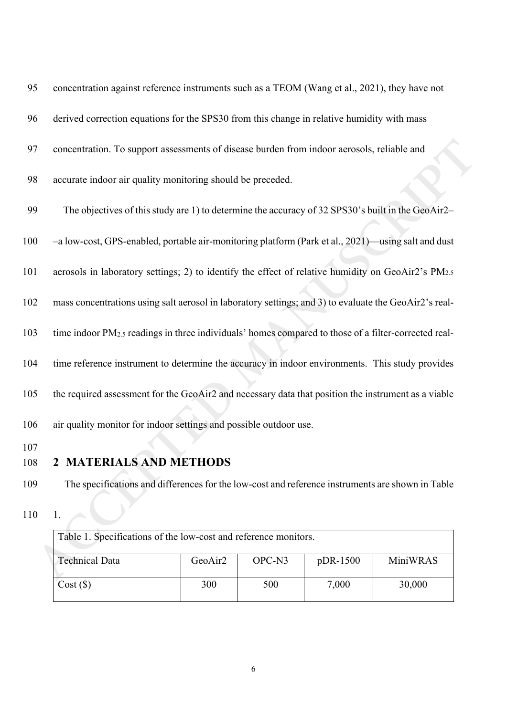| 95         | concentration against reference instruments such as a TEOM (Wang et al., 2021), they have not                    |         |        |          |          |  |
|------------|------------------------------------------------------------------------------------------------------------------|---------|--------|----------|----------|--|
| 96         | derived correction equations for the SPS30 from this change in relative humidity with mass                       |         |        |          |          |  |
| 97         | concentration. To support assessments of disease burden from indoor aerosols, reliable and                       |         |        |          |          |  |
| 98         | accurate indoor air quality monitoring should be preceded.                                                       |         |        |          |          |  |
| 99         | The objectives of this study are 1) to determine the accuracy of 32 SPS30's built in the GeoAir2–                |         |        |          |          |  |
| 100        | -a low-cost, GPS-enabled, portable air-monitoring platform (Park et al., 2021)—using salt and dust               |         |        |          |          |  |
| 101        | aerosols in laboratory settings; 2) to identify the effect of relative humidity on GeoAir2's PM2.5               |         |        |          |          |  |
| 102        | mass concentrations using salt aerosol in laboratory settings; and 3) to evaluate the GeoAir2's real-            |         |        |          |          |  |
| 103        | time indoor PM <sub>2.5</sub> readings in three individuals' homes compared to those of a filter-corrected real- |         |        |          |          |  |
| 104        | time reference instrument to determine the accuracy in indoor environments. This study provides                  |         |        |          |          |  |
| 105        | the required assessment for the GeoAir2 and necessary data that position the instrument as a viable              |         |        |          |          |  |
| 106        | air quality monitor for indoor settings and possible outdoor use.                                                |         |        |          |          |  |
| 107<br>108 | 2 MATERIALS AND METHODS                                                                                          |         |        |          |          |  |
| 109        | The specifications and differences for the low-cost and reference instruments are shown in Table                 |         |        |          |          |  |
| 110        | 1.                                                                                                               |         |        |          |          |  |
|            | Table 1. Specifications of the low-cost and reference monitors.                                                  |         |        |          |          |  |
|            | <b>Technical Data</b>                                                                                            | GeoAir2 | OPC-N3 | pDR-1500 | MiniWRAS |  |
|            |                                                                                                                  |         |        |          |          |  |

## 108 **2 MATERIALS AND METHODS**

- 109 The specifications and differences for the low-cost and reference instruments are shown in Table
- 110 1.

| Table 1. Specifications of the low-cost and reference monitors. |                     |                    |            |          |
|-----------------------------------------------------------------|---------------------|--------------------|------------|----------|
| <b>Technical Data</b>                                           | GeoAir <sub>2</sub> | OPC-N <sub>3</sub> | $pDR-1500$ | MiniWRAS |
|                                                                 |                     |                    |            |          |
| Cost(S)                                                         | 300                 | 500                | 7,000      | 30,000   |
|                                                                 |                     |                    |            |          |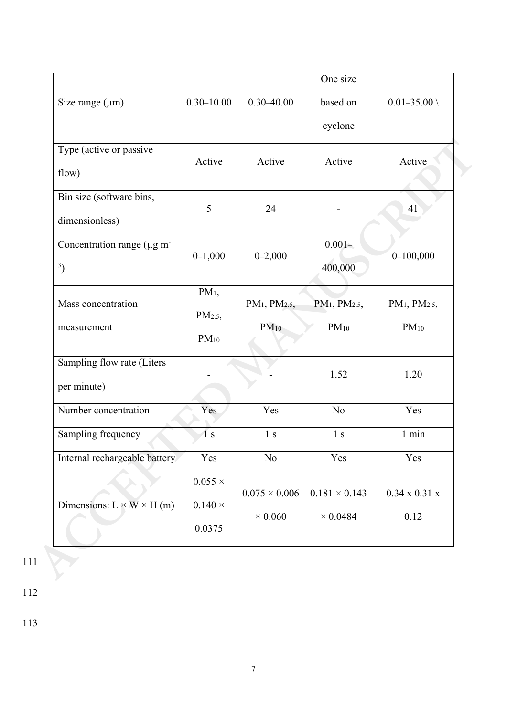|                                        |                   |                                       | One size                              |                                       |
|----------------------------------------|-------------------|---------------------------------------|---------------------------------------|---------------------------------------|
| Size range $(\mu m)$                   | $0.30 - 10.00$    | $0.30 - 40.00$                        | based on                              | $0.01 - 35.00 \; \backslash$          |
|                                        |                   |                                       | cyclone                               |                                       |
| Type (active or passive                | Active            | Active                                | Active                                | Active                                |
| flow)                                  |                   |                                       |                                       |                                       |
| Bin size (software bins,               | 5                 | 24                                    |                                       | 41                                    |
| dimensionless)                         |                   |                                       |                                       |                                       |
| Concentration range (µg m <sup>-</sup> | $0-1,000$         | $0 - 2,000$                           | $0.001 -$                             | $0 - 100,000$                         |
| 3)                                     |                   |                                       | 400,000                               |                                       |
| Mass concentration                     | PM <sub>1</sub>   | PM <sub>1</sub> , PM <sub>2.5</sub> , | PM <sub>1</sub> , PM <sub>2.5</sub> , | PM <sub>1</sub> , PM <sub>2.5</sub> , |
|                                        | PM <sub>2.5</sub> |                                       | $PM_{10}$                             |                                       |
| measurement                            | $PM_{10}$         | $PM_{10}$                             |                                       | $PM_{10}$                             |
| Sampling flow rate (Liters             |                   |                                       | 1.52                                  | 1.20                                  |
| per minute)                            |                   |                                       |                                       |                                       |
| Number concentration                   | Yes               | Yes                                   | N <sub>o</sub>                        | Yes                                   |
| Sampling frequency                     | $\overline{1}$ s  | 1 <sub>s</sub>                        | 1 <sub>s</sub>                        | $1$ min                               |
| Internal rechargeable battery          | Yes               | No                                    | Yes                                   | Yes                                   |
|                                        | $0.055 \times$    | $0.075 \times 0.006$                  | $0.181 \times 0.143$                  | $0.34 \times 0.31 \times$             |
| Dimensions: $L \times W \times H$ (m)  | $0.140 \times$    |                                       |                                       |                                       |
|                                        | 0.0375            | $\times$ 0.060                        | $\times$ 0.0484                       | 0.12                                  |

112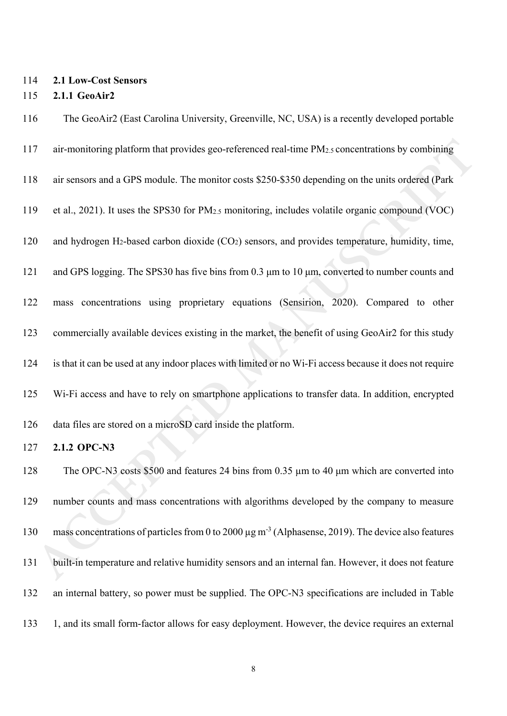### 114 **2.1 Low-Cost Sensors**

#### 115 **2.1.1 GeoAir2**

Tai-monitoring platform that provides geo-referenced real-time PM<sub>2</sub>, concentrations by combining<br> **ACCEPTED** air sensors and a GPS module. The monitor costs \$250-\$350 depending on the units ordered (Park<br>
9 or al., 2021). 116 The GeoAir2 (East Carolina University, Greenville, NC, USA) is a recently developed portable 117 air-monitoring platform that provides geo-referenced real-time PM2.5 concentrations by combining 118 air sensors and a GPS module. The monitor costs \$250-\$350 depending on the units ordered (Park 119 et al., 2021). It uses the SPS30 for PM2.5 monitoring, includes volatile organic compound (VOC) 120 and hydrogen H2-based carbon dioxide (CO2) sensors, and provides temperature, humidity, time, 121 and GPS logging. The SPS30 has five bins from 0.3 μm to 10 μm, converted to number counts and 122 mass concentrations using proprietary equations (Sensirion, 2020). Compared to other 123 commercially available devices existing in the market, the benefit of using GeoAir2 for this study 124 is that it can be used at any indoor places with limited or no Wi-Fi access because it does not require 125 Wi-Fi access and have to rely on smartphone applications to transfer data. In addition, encrypted 126 data files are stored on a microSD card inside the platform. 127 **2.1.2 OPC-N3** 128 The OPC-N3 costs \$500 and features 24 bins from 0.35 um to 40 um which are converted into 129 number counts and mass concentrations with algorithms developed by the company to measure 130 mass concentrations of particles from 0 to 2000  $\mu$ g m<sup>-3</sup> (Alphasense, 2019). The device also features 131 built-in temperature and relative humidity sensors and an internal fan. However, it does not feature 132 an internal battery, so power must be supplied. The OPC-N3 specifications are included in Table 133 1, and its small form-factor allows for easy deployment. However, the device requires an external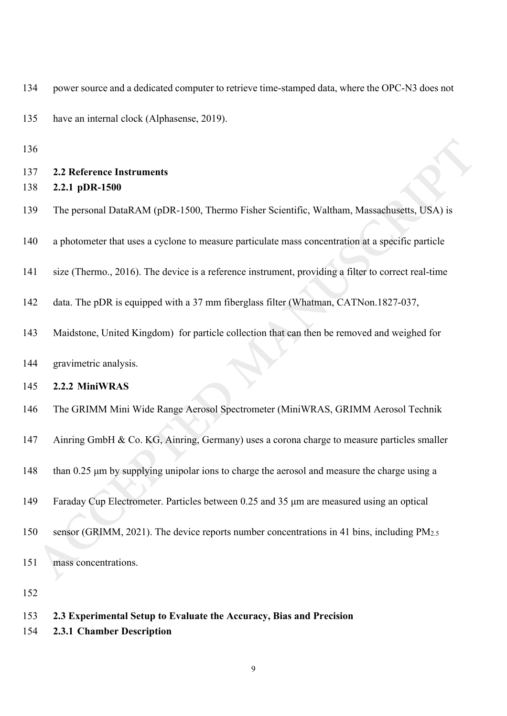| 135        | have an internal clock (Alphasense, 2019).                                                          |
|------------|-----------------------------------------------------------------------------------------------------|
| 136        |                                                                                                     |
| 137<br>138 | <b>2.2 Reference Instruments</b><br>2.2.1 pDR-1500                                                  |
| 139        | The personal DataRAM (pDR-1500, Thermo Fisher Scientific, Waltham, Massachusetts, USA) is           |
| 140        | a photometer that uses a cyclone to measure particulate mass concentration at a specific particle   |
| 141        | size (Thermo., 2016). The device is a reference instrument, providing a filter to correct real-time |
| 142        | data. The pDR is equipped with a 37 mm fiberglass filter (Whatman, CATNon.1827-037,                 |
| 143        | Maidstone, United Kingdom) for particle collection that can then be removed and weighed for         |
| 144        | gravimetric analysis.                                                                               |
| 145        | 2.2.2 MiniWRAS                                                                                      |
| 146        | The GRIMM Mini Wide Range Aerosol Spectrometer (MiniWRAS, GRIMM Aerosol Technik                     |
| 147        | Ainring GmbH & Co. KG, Ainring, Germany) uses a corona charge to measure particles smaller          |
| 148        | than 0.25 µm by supplying unipolar ions to charge the aerosol and measure the charge using a        |
| 149        | Faraday Cup Electrometer. Particles between 0.25 and 35 µm are measured using an optical            |
| 150        | sensor (GRIMM, 2021). The device reports number concentrations in 41 bins, including PM2.5          |
| 151        | mass concentrations.                                                                                |
| 152        |                                                                                                     |
| 153        | 2.3 Experimental Setup to Evaluate the Accuracy, Bias and Precision                                 |

134 power source and a dedicated computer to retrieve time-stamped data, where the OPC-N3 does not

154 **2.3.1 Chamber Description**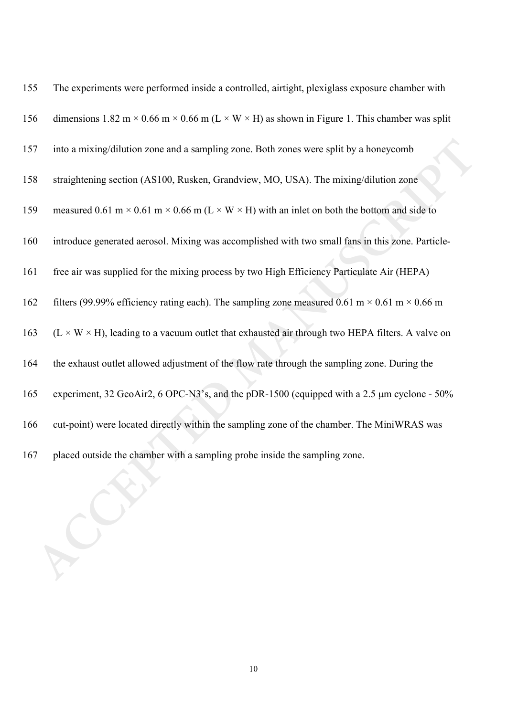| 155 | The experiments were performed inside a controlled, airtight, plexiglass exposure chamber with               |
|-----|--------------------------------------------------------------------------------------------------------------|
| 156 | dimensions 1.82 m × 0.66 m × 0.66 m (L × W × H) as shown in Figure 1. This chamber was split                 |
| 157 | into a mixing/dilution zone and a sampling zone. Both zones were split by a honeycomb                        |
| 158 | straightening section (AS100, Rusken, Grandview, MO, USA). The mixing/dilution zone                          |
| 159 | measured 0.61 m × 0.61 m × 0.66 m (L × W × H) with an inlet on both the bottom and side to                   |
| 160 | introduce generated aerosol. Mixing was accomplished with two small fans in this zone. Particle-             |
| 161 | free air was supplied for the mixing process by two High Efficiency Particulate Air (HEPA)                   |
| 162 | filters (99.99% efficiency rating each). The sampling zone measured 0.61 m $\times$ 0.61 m $\times$ 0.66 m   |
| 163 | $(L \times W \times H)$ , leading to a vacuum outlet that exhausted air through two HEPA filters. A valve on |
| 164 | the exhaust outlet allowed adjustment of the flow rate through the sampling zone. During the                 |
| 165 | experiment, 32 GeoAir2, 6 OPC-N3's, and the pDR-1500 (equipped with a 2.5 µm cyclone - 50%                   |
| 166 | cut-point) were located directly within the sampling zone of the chamber. The MiniWRAS was                   |
| 167 | placed outside the chamber with a sampling probe inside the sampling zone.                                   |
|     |                                                                                                              |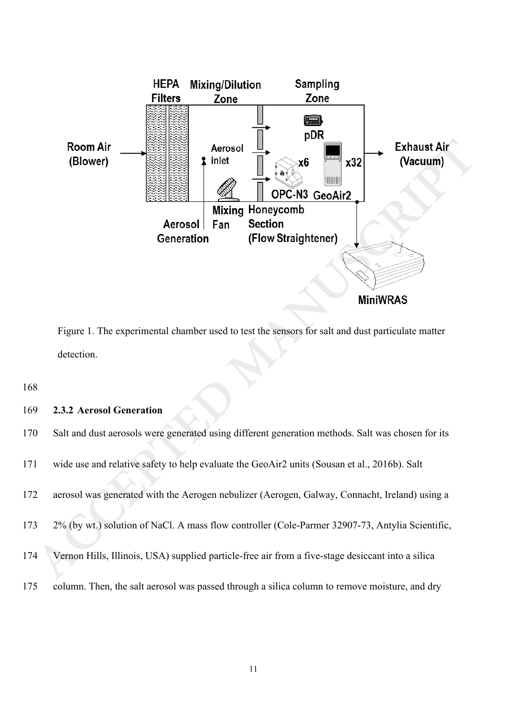

Figure 1. The experimental chamber used to test the sensors for salt and dust particulate matter detection.

### 169 **2.3.2 Aerosol Generation**

| 170 | Salt and dust aerosols were generated using different generation methods. Salt was chosen for its |
|-----|---------------------------------------------------------------------------------------------------|
| 171 | wide use and relative safety to help evaluate the GeoAir2 units (Sousan et al., 2016b). Salt      |
| 172 | aerosol was generated with the Aerogen nebulizer (Aerogen, Galway, Connacht, Ireland) using a     |
| 173 | 2% (by wt.) solution of NaCl. A mass flow controller (Cole-Parmer 32907-73, Antylia Scientific,   |
| 174 | Vernon Hills, Illinois, USA) supplied particle-free air from a five-stage desiccant into a silica |
| 175 | column. Then, the salt aerosol was passed through a silica column to remove moisture, and dry     |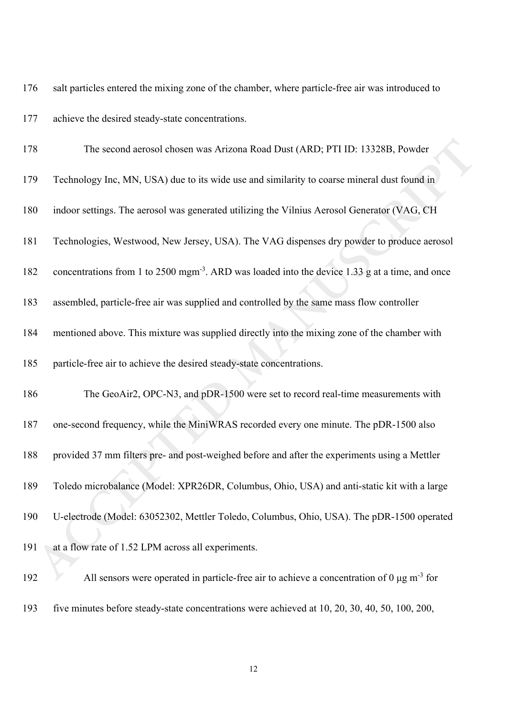176 salt particles entered the mixing zone of the chamber, where particle-free air was introduced to

177 achieve the desired steady-state concentrations.

| 178 | The second aerosol chosen was Arizona Road Dust (ARD; PTI ID: 13328B, Powder                                |
|-----|-------------------------------------------------------------------------------------------------------------|
| 179 | Technology Inc, MN, USA) due to its wide use and similarity to coarse mineral dust found in                 |
| 180 | indoor settings. The aerosol was generated utilizing the Vilnius Aerosol Generator (VAG, CH                 |
| 181 | Technologies, Westwood, New Jersey, USA). The VAG dispenses dry powder to produce aerosol                   |
| 182 | concentrations from 1 to 2500 mgm <sup>-3</sup> . ARD was loaded into the device 1.33 g at a time, and once |
| 183 | assembled, particle-free air was supplied and controlled by the same mass flow controller                   |
| 184 | mentioned above. This mixture was supplied directly into the mixing zone of the chamber with                |
| 185 | particle-free air to achieve the desired steady-state concentrations.                                       |
| 186 | The GeoAir2, OPC-N3, and pDR-1500 were set to record real-time measurements with                            |
| 187 | one-second frequency, while the MiniWRAS recorded every one minute. The pDR-1500 also                       |
| 188 | provided 37 mm filters pre- and post-weighed before and after the experiments using a Mettler               |
| 189 | Toledo microbalance (Model: XPR26DR, Columbus, Ohio, USA) and anti-static kit with a large                  |
| 190 | U-electrode (Model: 63052302, Mettler Toledo, Columbus, Ohio, USA). The pDR-1500 operated                   |
| 191 | at a flow rate of 1.52 LPM across all experiments.                                                          |
| 192 | All sensors were operated in particle-free air to achieve a concentration of $0 \mu g m^{-3}$ for           |

193 five minutes before steady-state concentrations were achieved at 10, 20, 30, 40, 50, 100, 200,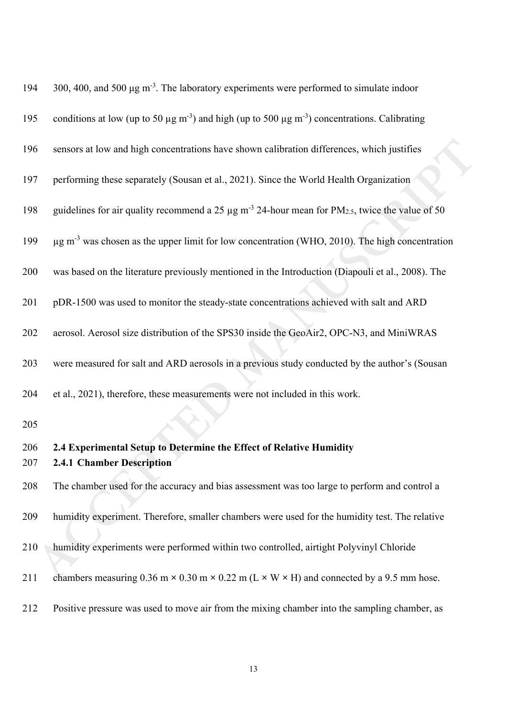| 194 | 300, 400, and 500 $\mu$ g m <sup>-3</sup> . The laboratory experiments were performed to simulate indoor                        |
|-----|---------------------------------------------------------------------------------------------------------------------------------|
| 195 | conditions at low (up to 50 $\mu$ g m <sup>-3</sup> ) and high (up to 500 $\mu$ g m <sup>-3</sup> ) concentrations. Calibrating |
| 196 | sensors at low and high concentrations have shown calibration differences, which justifies                                      |
| 197 | performing these separately (Sousan et al., 2021). Since the World Health Organization                                          |
| 198 | guidelines for air quality recommend a 25 $\mu$ g m <sup>-3</sup> 24-hour mean for PM <sub>2.5</sub> , twice the value of 50    |
| 199 | $\mu$ g m <sup>-3</sup> was chosen as the upper limit for low concentration (WHO, 2010). The high concentration                 |
| 200 | was based on the literature previously mentioned in the Introduction (Diapouli et al., 2008). The                               |
| 201 | pDR-1500 was used to monitor the steady-state concentrations achieved with salt and ARD                                         |
| 202 | aerosol. Aerosol size distribution of the SPS30 inside the GeoAir2, OPC-N3, and MiniWRAS                                        |
| 203 | were measured for salt and ARD aerosols in a previous study conducted by the author's (Sousan                                   |
| 204 | et al., 2021), therefore, these measurements were not included in this work.                                                    |
| 205 |                                                                                                                                 |
| 206 | 2.4 Experimental Setup to Determine the Effect of Relative Humidity                                                             |
| 207 | <b>2.4.1 Chamber Description</b>                                                                                                |
| 208 | The chamber used for the accuracy and bias assessment was too large to perform and control a                                    |
| 209 | humidity experiment. Therefore, smaller chambers were used for the humidity test. The relative                                  |
| 210 | humidity experiments were performed within two controlled, airtight Polyvinyl Chloride                                          |
| 211 | chambers measuring $0.36$ m $\times$ $0.30$ m $\times$ $0.22$ m (L $\times$ W $\times$ H) and connected by a 9.5 mm hose.       |
| 212 | Positive pressure was used to move air from the mixing chamber into the sampling chamber, as                                    |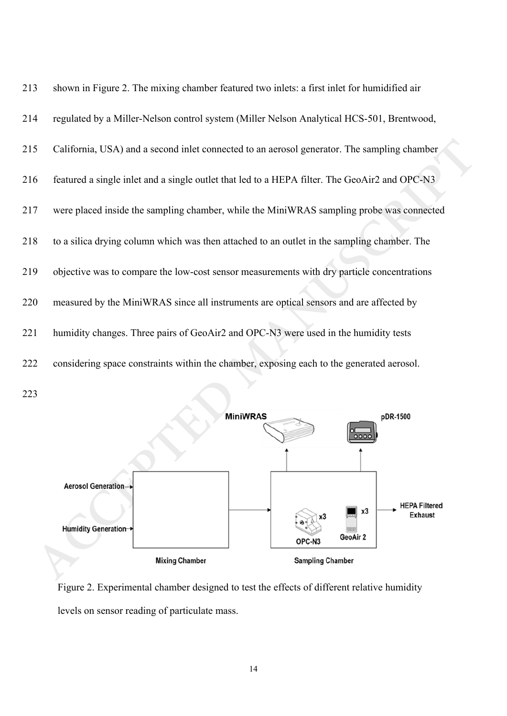

223



Figure 2. Experimental chamber designed to test the effects of different relative humidity levels on sensor reading of particulate mass.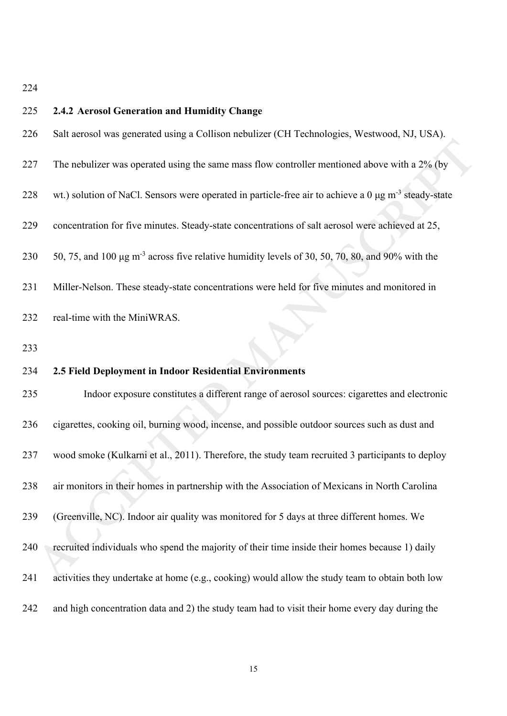| 225 | 2.4.2 Aerosol Generation and Humidity Change                                                                     |
|-----|------------------------------------------------------------------------------------------------------------------|
| 226 | Salt aerosol was generated using a Collison nebulizer (CH Technologies, Westwood, NJ, USA).                      |
| 227 | The nebulizer was operated using the same mass flow controller mentioned above with a 2% (by                     |
| 228 | wt.) solution of NaCl. Sensors were operated in particle-free air to achieve a $0 \mu g m^{-3}$ steady-state     |
| 229 | concentration for five minutes. Steady-state concentrations of salt aerosol were achieved at 25,                 |
| 230 | 50, 75, and 100 $\mu$ g m <sup>-3</sup> across five relative humidity levels of 30, 50, 70, 80, and 90% with the |
| 231 | Miller-Nelson. These steady-state concentrations were held for five minutes and monitored in                     |
| 232 | real-time with the MiniWRAS.                                                                                     |
| 233 |                                                                                                                  |
| 234 | 2.5 Field Deployment in Indoor Residential Environments                                                          |
| 235 | Indoor exposure constitutes a different range of aerosol sources: cigarettes and electronic                      |
| 236 | cigarettes, cooking oil, burning wood, incense, and possible outdoor sources such as dust and                    |
| 237 | wood smoke (Kulkarni et al., 2011). Therefore, the study team recruited 3 participants to deploy                 |
| 238 | air monitors in their homes in partnership with the Association of Mexicans in North Carolina                    |
| 239 | (Greenville, NC). Indoor air quality was monitored for 5 days at three different homes. We                       |
| 240 | recruited individuals who spend the majority of their time inside their homes because 1) daily                   |
| 241 | activities they undertake at home (e.g., cooking) would allow the study team to obtain both low                  |
| 242 | and high concentration data and 2) the study team had to visit their home every day during the                   |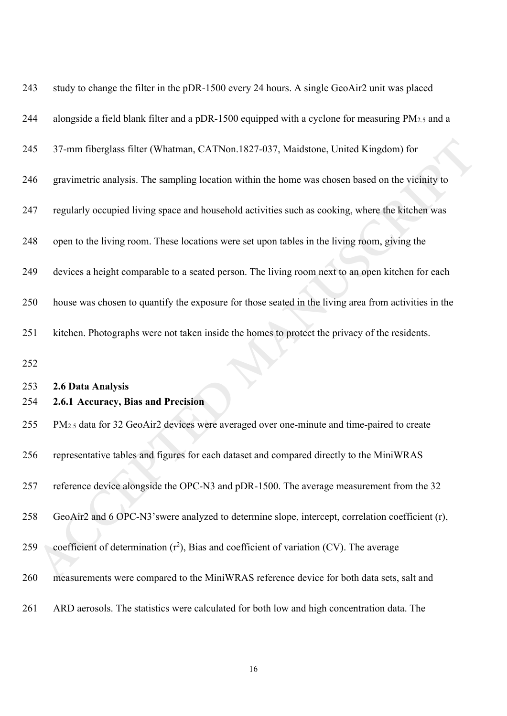| 243 | study to change the filter in the pDR-1500 every 24 hours. A single GeoAir2 unit was placed           |
|-----|-------------------------------------------------------------------------------------------------------|
| 244 | alongside a field blank filter and a pDR-1500 equipped with a cyclone for measuring PM2.5 and a       |
| 245 | 37-mm fiberglass filter (Whatman, CATNon.1827-037, Maidstone, United Kingdom) for                     |
| 246 | gravimetric analysis. The sampling location within the home was chosen based on the vicinity to       |
| 247 | regularly occupied living space and household activities such as cooking, where the kitchen was       |
| 248 | open to the living room. These locations were set upon tables in the living room, giving the          |
| 249 | devices a height comparable to a seated person. The living room next to an open kitchen for each      |
| 250 | house was chosen to quantify the exposure for those seated in the living area from activities in the  |
| 251 | kitchen. Photographs were not taken inside the homes to protect the privacy of the residents.         |
| 252 |                                                                                                       |
| 253 | 2.6 Data Analysis                                                                                     |
| 254 | 2.6.1 Accuracy, Bias and Precision                                                                    |
| 255 | PM <sub>2.5</sub> data for 32 GeoAir2 devices were averaged over one-minute and time-paired to create |
| 256 | representative tables and figures for each dataset and compared directly to the MiniWRAS              |
| 257 | reference device alongside the OPC-N3 and pDR-1500. The average measurement from the 32               |
| 258 | GeoAir2 and 6 OPC-N3'swere analyzed to determine slope, intercept, correlation coefficient (r),       |
| 259 | coefficient of determination $(r^2)$ , Bias and coefficient of variation (CV). The average            |
| 260 | measurements were compared to the MiniWRAS reference device for both data sets, salt and              |
| 261 | ARD aerosols. The statistics were calculated for both low and high concentration data. The            |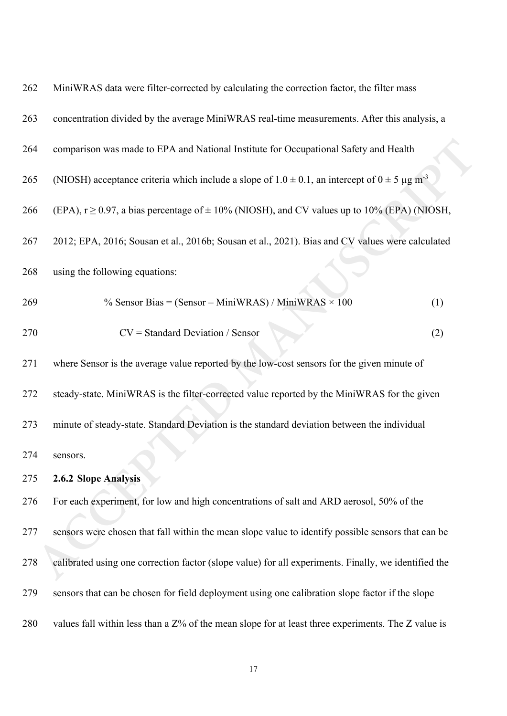| 262 | MiniWRAS data were filter-corrected by calculating the correction factor, the filter mass                             |  |  |  |  |  |  |
|-----|-----------------------------------------------------------------------------------------------------------------------|--|--|--|--|--|--|
| 263 | concentration divided by the average MiniWRAS real-time measurements. After this analysis, a                          |  |  |  |  |  |  |
| 264 | comparison was made to EPA and National Institute for Occupational Safety and Health                                  |  |  |  |  |  |  |
| 265 | (NIOSH) acceptance criteria which include a slope of $1.0 \pm 0.1$ , an intercept of $0 \pm 5 \,\mu g \text{ m}^{-3}$ |  |  |  |  |  |  |
| 266 | (EPA), $r \ge 0.97$ , a bias percentage of $\pm 10\%$ (NIOSH), and CV values up to 10% (EPA) (NIOSH,                  |  |  |  |  |  |  |
| 267 | 2012; EPA, 2016; Sousan et al., 2016b; Sousan et al., 2021). Bias and CV values were calculated                       |  |  |  |  |  |  |
| 268 | using the following equations:                                                                                        |  |  |  |  |  |  |
| 269 | % Sensor Bias = $(Sensor - MiniWRAS) / MiniWRAS \times 100$<br>(1)                                                    |  |  |  |  |  |  |
| 270 | $CV = Standard Deviation / Sensor$<br>(2)                                                                             |  |  |  |  |  |  |
| 271 | where Sensor is the average value reported by the low-cost sensors for the given minute of                            |  |  |  |  |  |  |
| 272 | steady-state. MiniWRAS is the filter-corrected value reported by the MiniWRAS for the given                           |  |  |  |  |  |  |
| 273 | minute of steady-state. Standard Deviation is the standard deviation between the individual                           |  |  |  |  |  |  |
| 274 | sensors.                                                                                                              |  |  |  |  |  |  |
| 275 | 2.6.2 Slope Analysis                                                                                                  |  |  |  |  |  |  |
| 276 | For each experiment, for low and high concentrations of salt and ARD aerosol, 50% of the                              |  |  |  |  |  |  |
| 277 | sensors were chosen that fall within the mean slope value to identify possible sensors that can be                    |  |  |  |  |  |  |
| 278 | calibrated using one correction factor (slope value) for all experiments. Finally, we identified the                  |  |  |  |  |  |  |
| 279 | sensors that can be chosen for field deployment using one calibration slope factor if the slope                       |  |  |  |  |  |  |
| 280 | values fall within less than a Z% of the mean slope for at least three experiments. The Z value is                    |  |  |  |  |  |  |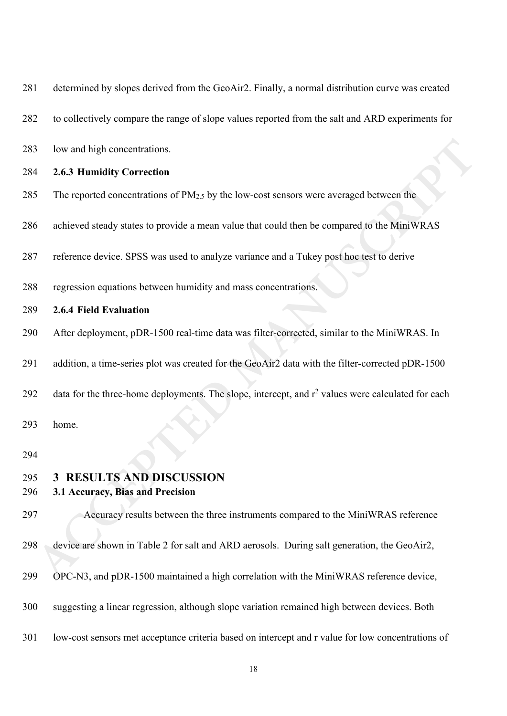| 281        | determined by slopes derived from the GeoAir2. Finally, a normal distribution curve was created               |
|------------|---------------------------------------------------------------------------------------------------------------|
| 282        | to collectively compare the range of slope values reported from the salt and ARD experiments for              |
| 283        | low and high concentrations.                                                                                  |
| 284        | 2.6.3 Humidity Correction                                                                                     |
| 285        | The reported concentrations of PM <sub>2.5</sub> by the low-cost sensors were averaged between the            |
| 286        | achieved steady states to provide a mean value that could then be compared to the MiniWRAS                    |
| 287        | reference device. SPSS was used to analyze variance and a Tukey post hoc test to derive                       |
| 288        | regression equations between humidity and mass concentrations.                                                |
| 289        | 2.6.4 Field Evaluation                                                                                        |
| 290        | After deployment, pDR-1500 real-time data was filter-corrected, similar to the MiniWRAS. In                   |
| 291        | addition, a time-series plot was created for the GeoAir2 data with the filter-corrected pDR-1500              |
| 292        | data for the three-home deployments. The slope, intercept, and r <sup>2</sup> values were calculated for each |
| 293        | home.                                                                                                         |
| 294        |                                                                                                               |
| 295<br>296 | <b>RESULTS AND DISCUSSION</b><br>$3^{\circ}$<br>3.1 Accuracy, Bias and Precision                              |
| 297        | Accuracy results between the three instruments compared to the MiniWRAS reference                             |
| 298        | device are shown in Table 2 for salt and ARD aerosols. During salt generation, the GeoAir2,                   |
| 299        | OPC-N3, and pDR-1500 maintained a high correlation with the MiniWRAS reference device,                        |
| 300        | suggesting a linear regression, although slope variation remained high between devices. Both                  |
| 301        | low-cost sensors met acceptance criteria based on intercept and r value for low concentrations of             |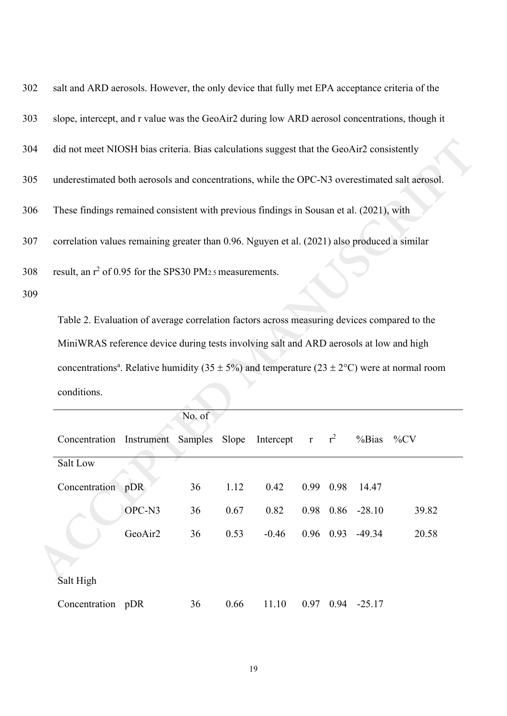| 302 | salt and ARD aerosols. However, the only device that fully met EPA acceptance criteria of the  |
|-----|------------------------------------------------------------------------------------------------|
| 303 | slope, intercept, and r value was the GeoAir2 during low ARD aerosol concentrations, though it |
| 304 | did not meet NIOSH bias criteria. Bias calculations suggest that the GeoAir2 consistently      |
| 305 | underestimated both aerosols and concentrations, while the OPC-N3 overestimated salt aerosol.  |
| 306 | These findings remained consistent with previous findings in Sousan et al. (2021), with        |
| 307 | correlation values remaining greater than 0.96. Nguyen et al. (2021) also produced a similar   |
| 308 | result, an $r^2$ of 0.95 for the SPS30 PM <sub>2.5</sub> measurements.                         |

| 4      | did not meet NIOSH bias criteria. Bias calculations suggest that the GeoAir2 consistently                        |         |        |       |             |  |           |                        |        |
|--------|------------------------------------------------------------------------------------------------------------------|---------|--------|-------|-------------|--|-----------|------------------------|--------|
| 5      | underestimated both aerosols and concentrations, while the OPC-N3 overestimated salt aerosol.                    |         |        |       |             |  |           |                        |        |
| 6      | These findings remained consistent with previous findings in Sousan et al. (2021), with                          |         |        |       |             |  |           |                        |        |
| 7      | correlation values remaining greater than 0.96. Nguyen et al. (2021) also produced a similar                     |         |        |       |             |  |           |                        |        |
| 8<br>9 | result, an $r^2$ of 0.95 for the SPS30 PM <sub>2.5</sub> measurements.                                           |         |        |       |             |  |           |                        |        |
|        | Table 2. Evaluation of average correlation factors across measuring devices compared to the                      |         |        |       |             |  |           |                        |        |
|        | MiniWRAS reference device during tests involving salt and ARD aerosols at low and high                           |         |        |       |             |  |           |                        |        |
|        | concentrations <sup>a</sup> . Relative humidity (35 $\pm$ 5%) and temperature (23 $\pm$ 2°C) were at normal room |         |        |       |             |  |           |                        |        |
|        | conditions.                                                                                                      |         |        |       |             |  |           |                        |        |
|        |                                                                                                                  |         |        |       |             |  |           |                        |        |
|        |                                                                                                                  |         | No. of |       |             |  |           |                        |        |
|        | Concentration Instrument Samples                                                                                 |         |        | Slope | Intercept r |  | $r^2$     | % Bias                 | $\%CV$ |
|        | Salt Low                                                                                                         |         |        |       |             |  |           |                        |        |
|        | Concentration pDR                                                                                                |         | 36     | 1.12  | 0.42        |  | 0.99 0.98 | 14.47                  |        |
|        |                                                                                                                  | OPC-N3  | 36     | 0.67  | 0.82        |  |           | $0.98$ $0.86$ $-28.10$ | 39.82  |
|        |                                                                                                                  | GeoAir2 | 36     | 0.53  | $-0.46$     |  |           | $0.96$ $0.93$ $-49.34$ | 20.58  |
|        |                                                                                                                  |         |        |       |             |  |           |                        |        |
|        | Salt High                                                                                                        |         |        |       |             |  |           |                        |        |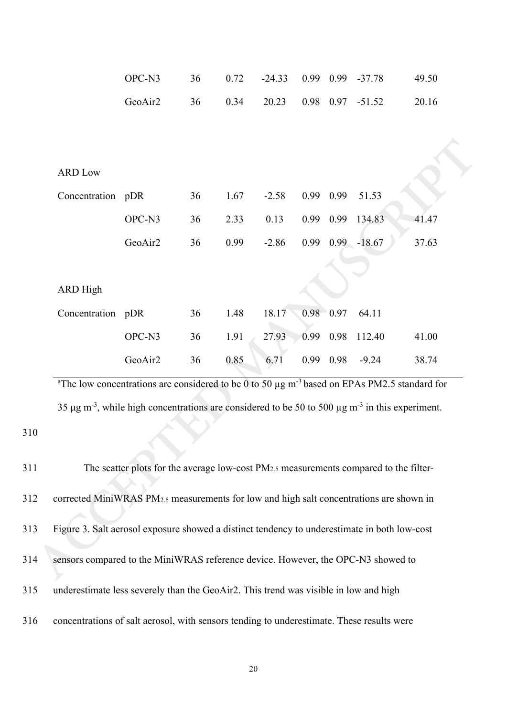|                                                                                                     | OPC-N3                                                                                                                                                                                                                                               | 36 | 0.72 | $-24.33$ |               |      | 0.99 0.99 -37.78   | 49.50 |
|-----------------------------------------------------------------------------------------------------|------------------------------------------------------------------------------------------------------------------------------------------------------------------------------------------------------------------------------------------------------|----|------|----------|---------------|------|--------------------|-------|
|                                                                                                     | GeoAir2                                                                                                                                                                                                                                              | 36 | 0.34 | 20.23    |               |      | $0.98$ 0.97 -51.52 | 20.16 |
|                                                                                                     |                                                                                                                                                                                                                                                      |    |      |          |               |      |                    |       |
|                                                                                                     |                                                                                                                                                                                                                                                      |    |      |          |               |      |                    |       |
| <b>ARD Low</b>                                                                                      |                                                                                                                                                                                                                                                      |    |      |          |               |      |                    |       |
| Concentration pDR                                                                                   |                                                                                                                                                                                                                                                      | 36 | 1.67 | $-2.58$  | 0.99          | 0.99 | 51.53              |       |
|                                                                                                     | OPC-N3                                                                                                                                                                                                                                               | 36 | 2.33 | 0.13     |               |      | 0.99 0.99 134.83   | 41.47 |
|                                                                                                     | GeoAir2                                                                                                                                                                                                                                              | 36 | 0.99 | $-2.86$  | 0.99          |      | $0.99 - 18.67$     | 37.63 |
|                                                                                                     |                                                                                                                                                                                                                                                      |    |      |          |               |      |                    |       |
| <b>ARD High</b>                                                                                     |                                                                                                                                                                                                                                                      |    |      |          |               |      |                    |       |
| Concentration pDR                                                                                   |                                                                                                                                                                                                                                                      | 36 | 1.48 | 18.17    | $0.98 - 0.97$ |      | 64.11              |       |
|                                                                                                     | OPC-N3                                                                                                                                                                                                                                               | 36 | 1.91 | 27.93    | 0.99          | 0.98 | 112.40             | 41.00 |
|                                                                                                     | GeoAir2                                                                                                                                                                                                                                              | 36 | 0.85 | 6.71     | 0.99          | 0.98 | $-9.24$            | 38.74 |
|                                                                                                     | <sup>a</sup> The low concentrations are considered to be 0 to 50 $\mu$ g m <sup>-3</sup> based on EPAs PM2.5 standard for<br>35 µg m <sup>-3</sup> , while high concentrations are considered to be 50 to 500 µg m <sup>-3</sup> in this experiment. |    |      |          |               |      |                    |       |
|                                                                                                     | The scatter plots for the average low-cost PM <sub>2.5</sub> measurements compared to the filter-                                                                                                                                                    |    |      |          |               |      |                    |       |
| corrected MiniWRAS PM <sub>2.5</sub> measurements for low and high salt concentrations are shown in |                                                                                                                                                                                                                                                      |    |      |          |               |      |                    |       |
| Figure 3. Salt aerosol exposure showed a distinct tendency to underestimate in both low-cost        |                                                                                                                                                                                                                                                      |    |      |          |               |      |                    |       |
| sensors compared to the MiniWRAS reference device. However, the OPC-N3 showed to                    |                                                                                                                                                                                                                                                      |    |      |          |               |      |                    |       |

| 311 | The scatter plots for the average low-cost PM <sub>2.5</sub> measurements compared to the filter-   |
|-----|-----------------------------------------------------------------------------------------------------|
| 312 | corrected MiniWRAS PM <sub>2.5</sub> measurements for low and high salt concentrations are shown in |
| 313 | Figure 3. Salt aerosol exposure showed a distinct tendency to underestimate in both low-cost        |
| 314 | sensors compared to the MiniWRAS reference device. However, the OPC-N3 showed to                    |
| 315 | underestimate less severely than the GeoAir2. This trend was visible in low and high                |
| 316 | concentrations of salt aerosol, with sensors tending to underestimate. These results were           |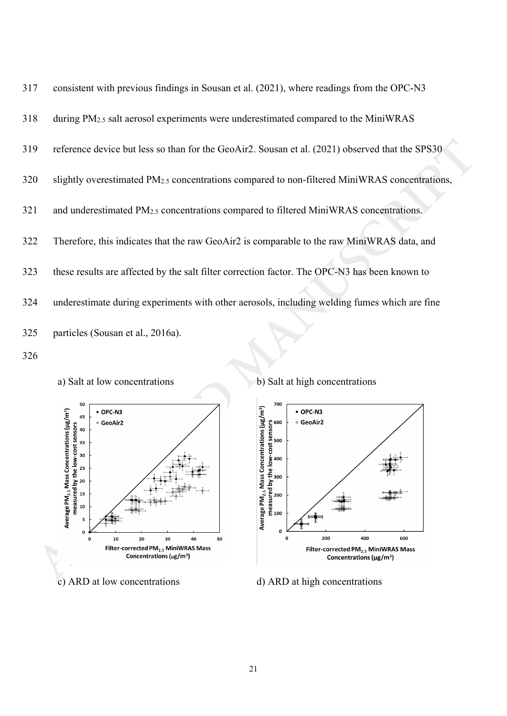





a) Salt at low concentrations b) Salt at high concentrations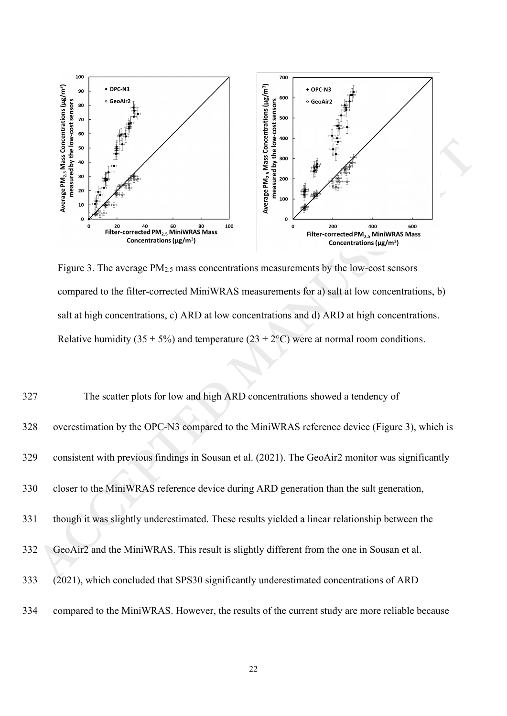

Figure 3. The average PM2.5 mass concentrations measurements by the low-cost sensors compared to the filter-corrected MiniWRAS measurements for a) salt at low concentrations, b) salt at high concentrations, c) ARD at low concentrations and d) ARD at high concentrations. Relative humidity (35  $\pm$  5%) and temperature (23  $\pm$  2°C) were at normal room conditions.

|     | Average PM <sub>2.5</sub> Mass Conce<br>measured by the low<br>50<br>40<br>30<br>20<br>10                                    | Average PM <sub>2.5</sub> Mass Conce<br>measured by the low<br>400<br>300<br>200<br>100<br>0                                   |  |
|-----|------------------------------------------------------------------------------------------------------------------------------|--------------------------------------------------------------------------------------------------------------------------------|--|
|     | 80<br>100<br>20<br>40<br>60<br>Filter-corrected PM <sub>2.5</sub> MiniWRAS Mass<br>Concentrations ( $\mu$ g/m <sup>3</sup> ) | 200<br>400<br>600<br>$\Omega$<br>Filter-corrected PM <sub>2.5</sub> MiniWRAS Mass<br>Concentrations ( $\mu$ g/m <sup>3</sup> ) |  |
|     | Figure 3. The average PM <sub>2.5</sub> mass concentrations measurements by the low-cost sensors                             |                                                                                                                                |  |
|     | compared to the filter-corrected MiniWRAS measurements for a) salt at low concentrations, b)                                 |                                                                                                                                |  |
|     | salt at high concentrations, c) ARD at low concentrations and d) ARD at high concentrations.                                 |                                                                                                                                |  |
|     | Relative humidity (35 $\pm$ 5%) and temperature (23 $\pm$ 2°C) were at normal room conditions.                               |                                                                                                                                |  |
| 327 | The scatter plots for low and high ARD concentrations showed a tendency of                                                   |                                                                                                                                |  |
| 328 | overestimation by the OPC-N3 compared to the MiniWRAS reference device (Figure 3), which is                                  |                                                                                                                                |  |
| 329 | consistent with previous findings in Sousan et al. (2021). The GeoAir2 monitor was significantly                             |                                                                                                                                |  |
| 330 | closer to the MiniWRAS reference device during ARD generation than the salt generation,                                      |                                                                                                                                |  |
| 331 | though it was slightly underestimated. These results yielded a linear relationship between the                               |                                                                                                                                |  |
| 332 | GeoAir2 and the MiniWRAS. This result is slightly different from the one in Sousan et al.                                    |                                                                                                                                |  |
| 333 | (2021), which concluded that SPS30 significantly underestimated concentrations of ARD                                        |                                                                                                                                |  |
| 334 | compared to the MiniWRAS. However, the results of the current study are more reliable because                                |                                                                                                                                |  |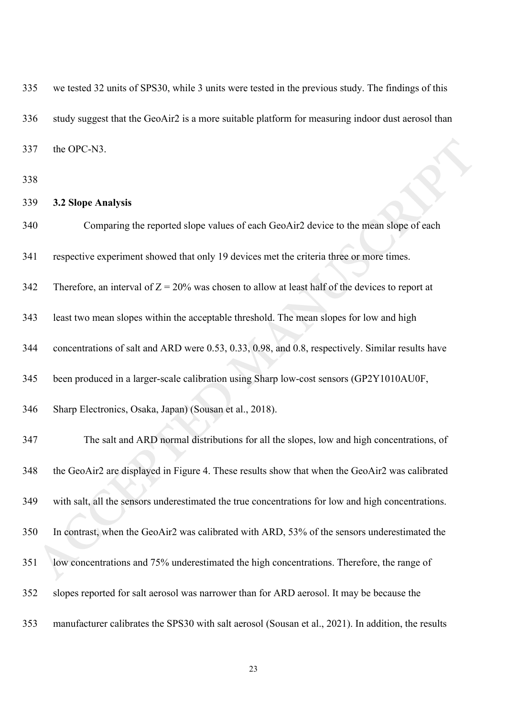| 335 | we tested 32 units of SPS30, while 3 units were tested in the previous study. The findings of this  |
|-----|-----------------------------------------------------------------------------------------------------|
| 336 | study suggest that the GeoAir2 is a more suitable platform for measuring indoor dust aerosol than   |
| 337 | the OPC-N3.                                                                                         |
| 338 |                                                                                                     |
| 339 | 3.2 Slope Analysis                                                                                  |
| 340 | Comparing the reported slope values of each GeoAir2 device to the mean slope of each                |
| 341 | respective experiment showed that only 19 devices met the criteria three or more times.             |
| 342 | Therefore, an interval of $Z = 20\%$ was chosen to allow at least half of the devices to report at  |
| 343 | least two mean slopes within the acceptable threshold. The mean slopes for low and high             |
| 344 | concentrations of salt and ARD were 0.53, 0.33, 0.98, and 0.8, respectively. Similar results have   |
| 345 | been produced in a larger-scale calibration using Sharp low-cost sensors (GP2Y1010AU0F,             |
| 346 | Sharp Electronics, Osaka, Japan) (Sousan et al., 2018).                                             |
| 347 | The salt and ARD normal distributions for all the slopes, low and high concentrations, of           |
| 348 | the GeoAir2 are displayed in Figure 4. These results show that when the GeoAir2 was calibrated      |
| 349 | with salt, all the sensors underestimated the true concentrations for low and high concentrations.  |
| 350 | In contrast, when the GeoAir2 was calibrated with ARD, 53% of the sensors underestimated the        |
| 351 | low concentrations and 75% underestimated the high concentrations. Therefore, the range of          |
| 352 | slopes reported for salt aerosol was narrower than for ARD aerosol. It may be because the           |
| 353 | manufacturer calibrates the SPS30 with salt aerosol (Sousan et al., 2021). In addition, the results |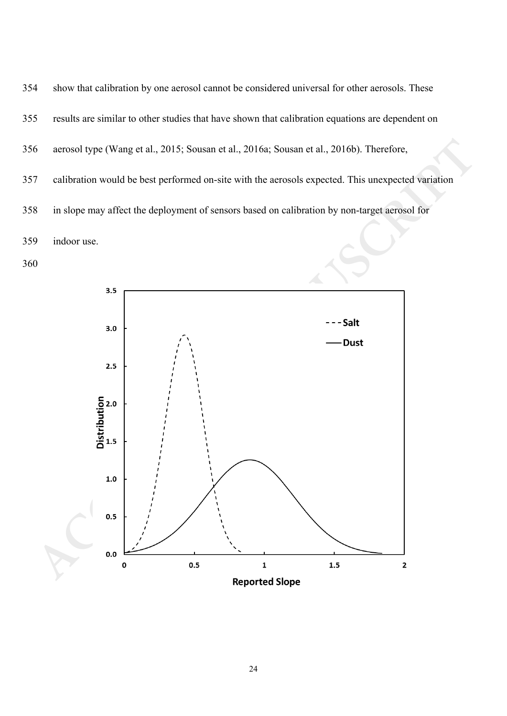



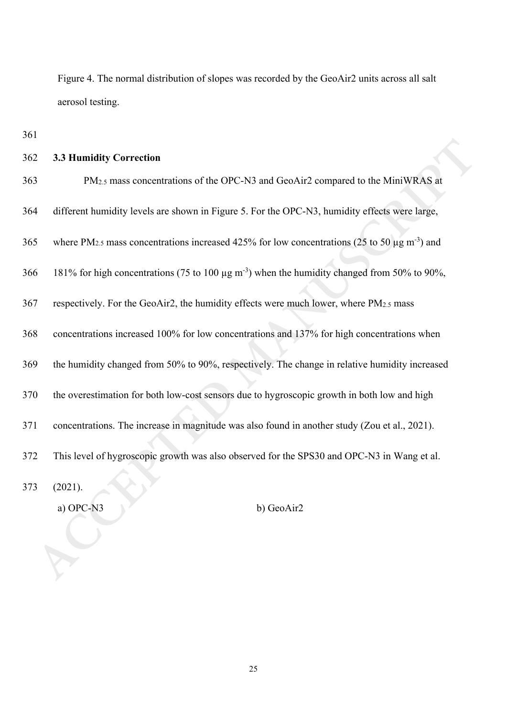Figure 4. The normal distribution of slopes was recorded by the GeoAir2 units across all salt aerosol testing.

361

## 362 **3.3 Humidity Correction**

| 362 | <b>3.3 Humidity Correction</b>                                                                                            |
|-----|---------------------------------------------------------------------------------------------------------------------------|
| 363 | PM <sub>2.5</sub> mass concentrations of the OPC-N3 and GeoAir2 compared to the MiniWRAS at                               |
| 364 | different humidity levels are shown in Figure 5. For the OPC-N3, humidity effects were large,                             |
| 365 | where PM <sub>2.5</sub> mass concentrations increased 425% for low concentrations (25 to 50 $\mu$ g m <sup>-3</sup> ) and |
| 366 | 181% for high concentrations (75 to 100 µg m <sup>-3</sup> ) when the humidity changed from 50% to 90%,                   |
| 367 | respectively. For the GeoAir2, the humidity effects were much lower, where PM2.5 mass                                     |
| 368 | concentrations increased 100% for low concentrations and 137% for high concentrations when                                |
| 369 | the humidity changed from 50% to 90%, respectively. The change in relative humidity increased                             |
| 370 | the overestimation for both low-cost sensors due to hygroscopic growth in both low and high                               |
| 371 | concentrations. The increase in magnitude was also found in another study (Zou et al., 2021).                             |
| 372 | This level of hygroscopic growth was also observed for the SPS30 and OPC-N3 in Wang et al.                                |
| 373 | (2021).                                                                                                                   |
|     | a) OPC-N3<br>b) GeoAir2                                                                                                   |
|     |                                                                                                                           |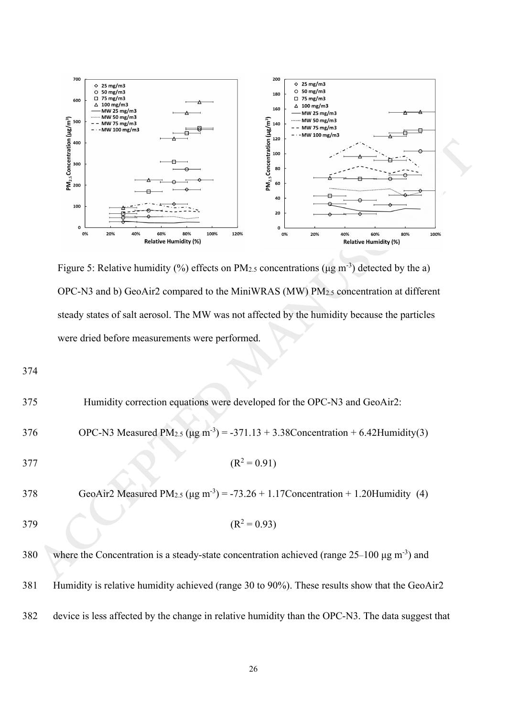

Figure 5: Relative humidity (%) effects on PM<sub>2.5</sub> concentrations ( $\mu$ g m<sup>-3</sup>) detected by the a) OPC-N3 and b) GeoAir2 compared to the MiniWRAS (MW) PM2.5 concentration at different steady states of salt aerosol. The MW was not affected by the humidity because the particles were dried before measurements were performed.

|     | 120<br>$PM_{2.5}$ Concentration<br>$\frac{8}{8}$ $\frac{8}{8}$<br>PM <sub>2.5</sub> Concentration<br>100<br>80<br>60<br>40<br>100<br>20<br>0<br>0<br>0%<br>80%<br>20%<br>40%<br>60%<br>100%<br>120%<br>0%<br>20%<br>40%<br>60%<br>80%<br>100%<br><b>Relative Humidity (%)</b><br><b>Relative Humidity (%)</b><br>Figure 5: Relative humidity (%) effects on PM <sub>2.5</sub> concentrations ( $\mu$ g m <sup>-3</sup> ) detected by the a)<br>OPC-N3 and b) GeoAir2 compared to the MiniWRAS (MW) PM2.5 concentration at different<br>steady states of salt aerosol. The MW was not affected by the humidity because the particles |
|-----|-------------------------------------------------------------------------------------------------------------------------------------------------------------------------------------------------------------------------------------------------------------------------------------------------------------------------------------------------------------------------------------------------------------------------------------------------------------------------------------------------------------------------------------------------------------------------------------------------------------------------------------|
|     | were dried before measurements were performed.                                                                                                                                                                                                                                                                                                                                                                                                                                                                                                                                                                                      |
| 374 |                                                                                                                                                                                                                                                                                                                                                                                                                                                                                                                                                                                                                                     |
| 375 | Humidity correction equations were developed for the OPC-N3 and GeoAir2:                                                                                                                                                                                                                                                                                                                                                                                                                                                                                                                                                            |
| 376 | OPC-N3 Measured PM <sub>2.5</sub> ( $\mu$ g m <sup>-3</sup> ) = -371.13 + 3.38 Concentration + 6.42 Humidity(3)                                                                                                                                                                                                                                                                                                                                                                                                                                                                                                                     |
| 377 | $(R^2 = 0.91)$                                                                                                                                                                                                                                                                                                                                                                                                                                                                                                                                                                                                                      |
| 378 | GeoAir2 Measured PM <sub>2.5</sub> ( $\mu$ g m <sup>-3</sup> ) = -73.26 + 1.17Concentration + 1.20Humidity (4)                                                                                                                                                                                                                                                                                                                                                                                                                                                                                                                      |
| 379 | $(R^2 = 0.93)$                                                                                                                                                                                                                                                                                                                                                                                                                                                                                                                                                                                                                      |
| 380 | where the Concentration is a steady-state concentration achieved (range $25-100 \mu g m^{-3}$ ) and                                                                                                                                                                                                                                                                                                                                                                                                                                                                                                                                 |
| 381 | Humidity is relative humidity achieved (range 30 to 90%). These results show that the GeoAir2                                                                                                                                                                                                                                                                                                                                                                                                                                                                                                                                       |
| 382 | device is less affected by the change in relative humidity than the OPC-N3. The data suggest that                                                                                                                                                                                                                                                                                                                                                                                                                                                                                                                                   |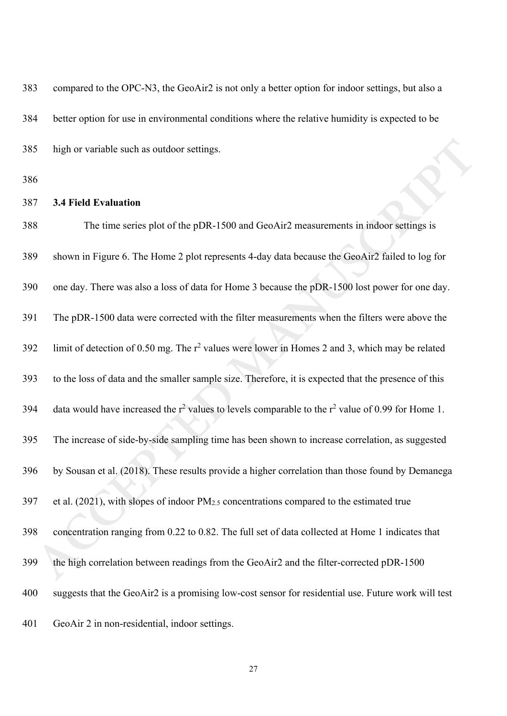| 383 | compared to the OPC-N3, the GeoAir2 is not only a better option for indoor settings, but also a         |
|-----|---------------------------------------------------------------------------------------------------------|
| 384 | better option for use in environmental conditions where the relative humidity is expected to be         |
| 385 | high or variable such as outdoor settings.                                                              |
| 386 |                                                                                                         |
| 387 | <b>3.4 Field Evaluation</b>                                                                             |
| 388 | The time series plot of the pDR-1500 and GeoAir2 measurements in indoor settings is                     |
| 389 | shown in Figure 6. The Home 2 plot represents 4-day data because the GeoAir2 failed to log for          |
| 390 | one day. There was also a loss of data for Home 3 because the pDR-1500 lost power for one day.          |
| 391 | The pDR-1500 data were corrected with the filter measurements when the filters were above the           |
| 392 | limit of detection of 0.50 mg. The $r^2$ values were lower in Homes 2 and 3, which may be related       |
| 393 | to the loss of data and the smaller sample size. Therefore, it is expected that the presence of this    |
| 394 | data would have increased the $r^2$ values to levels comparable to the $r^2$ value of 0.99 for Home 1.  |
| 395 | The increase of side-by-side sampling time has been shown to increase correlation, as suggested         |
| 396 | by Sousan et al. (2018). These results provide a higher correlation than those found by Demanega        |
| 397 | et al. $(2021)$ , with slopes of indoor PM <sub>2.5</sub> concentrations compared to the estimated true |
| 398 | concentration ranging from 0.22 to 0.82. The full set of data collected at Home 1 indicates that        |
| 399 | the high correlation between readings from the GeoAir2 and the filter-corrected pDR-1500                |
| 400 | suggests that the GeoAir2 is a promising low-cost sensor for residential use. Future work will test     |
| 401 | GeoAir 2 in non-residential, indoor settings.                                                           |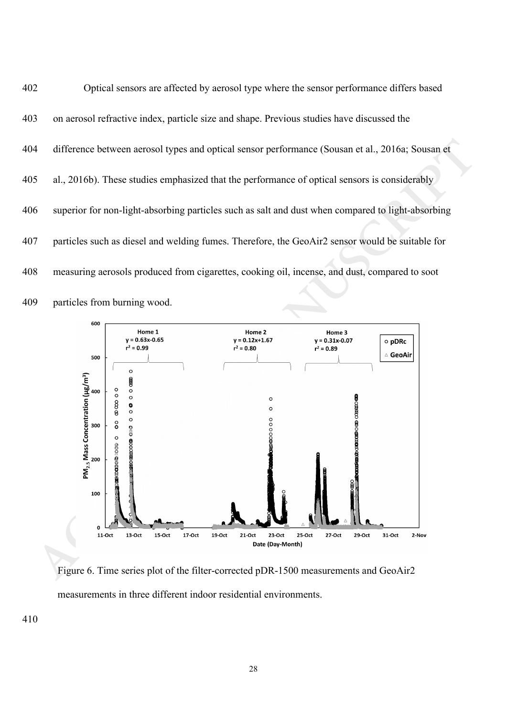402 Optical sensors are affected by aerosol type where the sensor performance differs based 403 on aerosol refractive index, particle size and shape. Previous studies have discussed the 404 difference between aerosol types and optical sensor performance (Sousan et al., 2016a; Sousan et 405 al., 2016b). These studies emphasized that the performance of optical sensors is considerably 406 superior for non-light-absorbing particles such as salt and dust when compared to light-absorbing 407 particles such as diesel and welding fumes. Therefore, the GeoAir2 sensor would be suitable for 408 measuring aerosols produced from cigarettes, cooking oil, incense, and dust, compared to soot 409 particles from burning wood.



Figure 6. Time series plot of the filter-corrected pDR-1500 measurements and GeoAir2 measurements in three different indoor residential environments.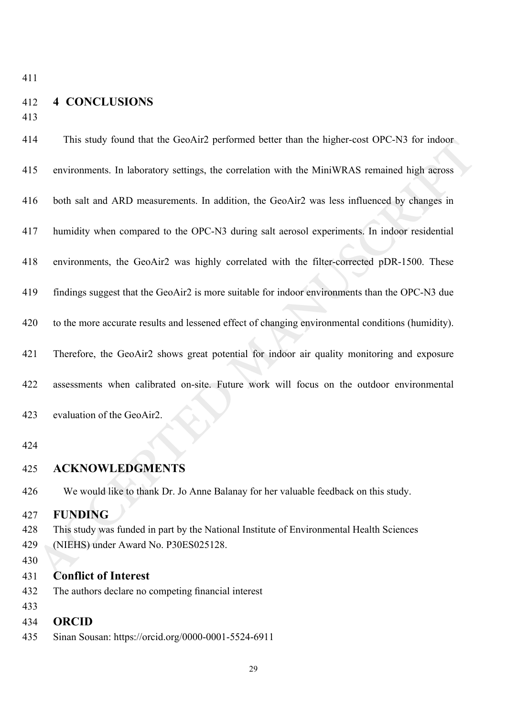# 412 **4 CONCLUSIONS**

413

| 414 | This study found that the GeoAir2 performed better than the higher-cost OPC-N3 for indoor         |
|-----|---------------------------------------------------------------------------------------------------|
| 415 | environments. In laboratory settings, the correlation with the MiniWRAS remained high across      |
| 416 | both salt and ARD measurements. In addition, the GeoAir2 was less influenced by changes in        |
| 417 | humidity when compared to the OPC-N3 during salt aerosol experiments. In indoor residential       |
| 418 | environments, the GeoAir2 was highly correlated with the filter-corrected pDR-1500. These         |
| 419 | findings suggest that the GeoAir2 is more suitable for indoor environments than the OPC-N3 due    |
| 420 | to the more accurate results and lessened effect of changing environmental conditions (humidity). |
| 421 | Therefore, the GeoAir2 shows great potential for indoor air quality monitoring and exposure       |
| 422 | assessments when calibrated on-site. Future work will focus on the outdoor environmental          |
| 423 | evaluation of the GeoAir2.                                                                        |
| 424 |                                                                                                   |
| 425 | <b>ACKNOWLEDGMENTS</b>                                                                            |
| 426 | We would like to thank Dr. Jo Anne Balanay for her valuable feedback on this study.               |
| 427 | <b>FUNDING</b>                                                                                    |
| 428 | This study was funded in part by the National Institute of Environmental Health Sciences          |
| 429 | (NIEHS) under Award No. P30ES025128.                                                              |
| 430 |                                                                                                   |
| 431 | <b>Conflict of Interest</b>                                                                       |
| 432 | The authors declare no competing financial interest                                               |
| 433 |                                                                                                   |
| 434 | <b>ORCID</b>                                                                                      |
| 435 | Sinan Sousan: https://orcid.org/0000-0001-5524-6911                                               |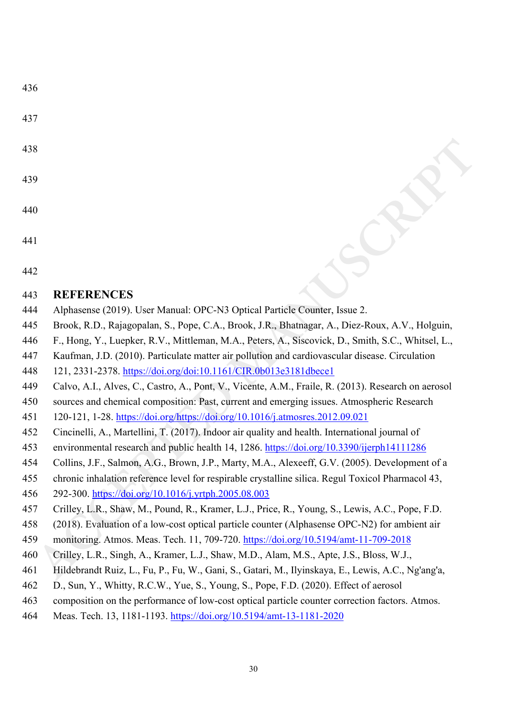| ۰.<br>۰.<br>×<br>× |  |  |
|--------------------|--|--|
|--------------------|--|--|

- 437
- 438
- 439
- 440
- 441
- 442

### 443 **REFERENCES**

- 444 Alphasense (2019). User Manual: OPC-N3 Optical Particle Counter, Issue 2.
- 445 Brook, R.D., Rajagopalan, S., Pope, C.A., Brook, J.R., Bhatnagar, A., Diez-Roux, A.V., Holguin,
- 446 F., Hong, Y., Luepker, R.V., Mittleman, M.A., Peters, A., Siscovick, D., Smith, S.C., Whitsel, L.,
- 447 Kaufman, J.D. (2010). Particulate matter air pollution and cardiovascular disease. Circulation
- 448 121, 2331-2378.<https://doi.org/doi:10.1161/CIR.0b013e3181dbece1>
- 449 Calvo, A.I., Alves, C., Castro, A., Pont, V., Vicente, A.M., Fraile, R. (2013). Research on aerosol
- **ACCES**<br> **ACCES**<br> **ACCES**<br> **ACCES**<br> **ACCES**<br> **ACCES**<br> **ACCES**<br> **ACCES**<br> **ACCES**<br> **ACCES**<br> **ACCES**<br> **ACCES**<br> **ACCES**<br> **ACCES**<br> **ACCES**<br> **ACCES**<br> **ACCES**<br> **ACCES**<br> **ACCES**<br> **ACCES**<br> **ACCES**<br> **ACCES**<br> **ACCES**<br> **ACCES**<br> **ACCES** 450 sources and chemical composition: Past, current and emerging issues. Atmospheric Research
- 451 120-121, 1-28. [https://doi.org/https://doi.org/10.1016/j.atmosres.2012.09.021](https://doi.org/https:/doi.org/10.1016/j.atmosres.2012.09.021)
- 452 Cincinelli, A., Martellini, T. (2017). Indoor air quality and health. International journal of
- 453 environmental research and public health 14, 1286.<https://doi.org/10.3390/ijerph14111286>
- 454 Collins, J.F., Salmon, A.G., Brown, J.P., Marty, M.A., Alexeeff, G.V. (2005). Development of a
- 455 chronic inhalation reference level for respirable crystalline silica. Regul Toxicol Pharmacol 43,
- 456 292-300. https://doi.org/10.1016/j.yrtph.2005.08.003
- 457 Crilley, L.R., Shaw, M., Pound, R., Kramer, L.J., Price, R., Young, S., Lewis, A.C., Pope, F.D.
- 458 (2018). Evaluation of a low-cost optical particle counter (Alphasense OPC-N2) for ambient air
- 459 monitoring. Atmos. Meas. Tech. 11, 709-720.<https://doi.org/10.5194/amt-11-709-2018>
- 460 Crilley, L.R., Singh, A., Kramer, L.J., Shaw, M.D., Alam, M.S., Apte, J.S., Bloss, W.J.,
- 461 Hildebrandt Ruiz, L., Fu, P., Fu, W., Gani, S., Gatari, M., Ilyinskaya, E., Lewis, A.C., Ng'ang'a,
- 462 D., Sun, Y., Whitty, R.C.W., Yue, S., Young, S., Pope, F.D. (2020). Effect of aerosol
- 463 composition on the performance of low-cost optical particle counter correction factors. Atmos.
- 464 Meas. Tech. 13, 1181-1193.<https://doi.org/10.5194/amt-13-1181-2020>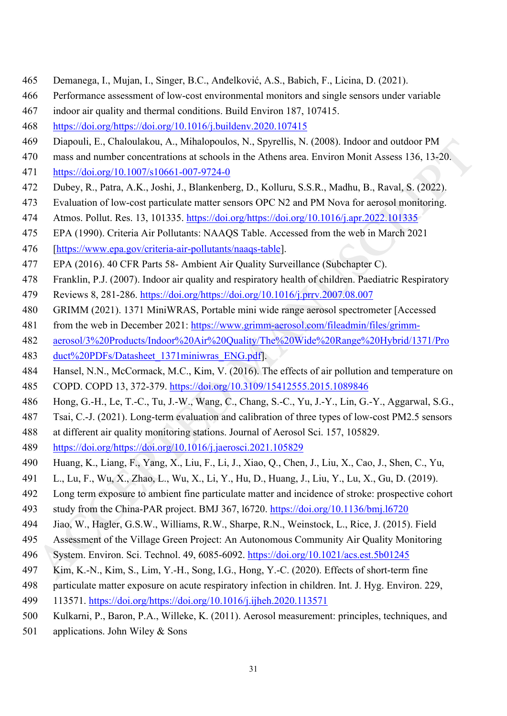- 465 Demanega, I., Mujan, I., Singer, B.C., Anđelković, A.S., Babich, F., Licina, D. (2021).
- 466 Performance assessment of low-cost environmental monitors and single sensors under variable
- 467 indoor air quality and thermal conditions. Build Environ 187, 107415.
- 468 [https://doi.org/https://doi.org/10.1016/j.buildenv.2020.107415](https://doi.org/https:/doi.org/10.1016/j.buildenv.2020.107415)
- 469 Diapouli, E., Chaloulakou, A., Mihalopoulos, N., Spyrellis, N. (2008). Indoor and outdoor PM
- 470 mass and number concentrations at schools in the Athens area. Environ Monit Assess 136, 13-20.
- 471 <https://doi.org/10.1007/s10661-007-9724-0>
- 472 Dubey, R., Patra, A.K., Joshi, J., Blankenberg, D., Kolluru, S.S.R., Madhu, B., Raval, S. (2022).
- 473 Evaluation of low-cost particulate matter sensors OPC N2 and PM Nova for aerosol monitoring.
- 474 Atmos. Pollut. Res. 13, 101335. https://doi.org/https://doi.org/10.1016/j.apr.2022.101335
- 475 EPA (1990). Criteria Air Pollutants: NAAQS Table. Accessed from the web in March 2021
- 476 [\[https://www.epa.gov/criteria-air-pollutants/naaqs-table\]](https://www.epa.gov/criteria-air-pollutants/naaqs-table).
- 477 EPA (2016). 40 CFR Parts 58- Ambient Air Quality Surveillance (Subchapter C).
- 478 Franklin, P.J. (2007). Indoor air quality and respiratory health of children. Paediatric Respiratory
- 479 Reviews 8, 281-286. [https://doi.org/https://doi.org/10.1016/j.prrv.2007.08.007](https://doi.org/https:/doi.org/10.1016/j.prrv.2007.08.007)
- 480 GRIMM (2021). 1371 MiniWRAS, Portable mini wide range aerosol spectrometer [Accessed
- 481 from the web in December 2021: https://www.grimm-aerosol.com/fileadmin/files/grimm-
- 482 [aerosol/3%20Products/Indoor%20Air%20Quality/The%20Wide%20Range%20Hybrid/1371/Pro](https://www.grimm-aerosol.com/fileadmin/files/grimm-aerosol/3%20Products/Indoor%20Air%20Quality/The%20Wide%20Range%20Hybrid/1371/Product%20PDFs/Datasheet_1371miniwras_ENG.pdf) 483 [duct%20PDFs/Datasheet\\_1371miniwras\\_ENG.pdf\]](https://www.grimm-aerosol.com/fileadmin/files/grimm-aerosol/3%20Products/Indoor%20Air%20Quality/The%20Wide%20Range%20Hybrid/1371/Product%20PDFs/Datasheet_1371miniwras_ENG.pdf).
- **P** Direct Check Theory (E.C. Check Theory (2008). The Sample Theory (2008). Indoor and outdoor PM<br>
1 Diffuse<sup>17</sup>/doi.org/10.1007/s-10661-007-9724-0<br>
1 https://doi.org/10.1007/s-10661-007-9724-0<br>
1 https://doi.org/10.007/ 484 Hansel, N.N., McCormack, M.C., Kim, V. (2016). The effects of air pollution and temperature on 485 COPD. COPD 13, 372-379.<https://doi.org/10.3109/15412555.2015.1089846>
- 486 Hong, G.-H., Le, T.-C., Tu, J.-W., Wang, C., Chang, S.-C., Yu, J.-Y., Lin, G.-Y., Aggarwal, S.G.,
- 487 Tsai, C.-J. (2021). Long-term evaluation and calibration of three types of low-cost PM2.5 sensors
- 488 at different air quality monitoring stations. Journal of Aerosol Sci. 157, 105829.
- 489 https://doi.org/https://doi.org/10.1016/j.jaerosci.2021.105829
- 490 Huang, K., Liang, F., Yang, X., Liu, F., Li, J., Xiao, Q., Chen, J., Liu, X., Cao, J., Shen, C., Yu,
- 491 L., Lu, F., Wu, X., Zhao, L., Wu, X., Li, Y., Hu, D., Huang, J., Liu, Y., Lu, X., Gu, D. (2019).
- 492 Long term exposure to ambient fine particulate matter and incidence of stroke: prospective cohort
- 493 study from the China-PAR project. BMJ 367, l6720.<https://doi.org/10.1136/bmj.l6720>
- 494 Jiao, W., Hagler, G.S.W., Williams, R.W., Sharpe, R.N., Weinstock, L., Rice, J. (2015). Field
- 495 Assessment of the Village Green Project: An Autonomous Community Air Quality Monitoring
- 496 System. Environ. Sci. Technol. 49, 6085-6092.<https://doi.org/10.1021/acs.est.5b01245>
- 497 Kim, K.-N., Kim, S., Lim, Y.-H., Song, I.G., Hong, Y.-C. (2020). Effects of short-term fine
- 498 particulate matter exposure on acute respiratory infection in children. Int. J. Hyg. Environ. 229,
- 499 113571. [https://doi.org/https://doi.org/10.1016/j.ijheh.2020.113571](https://doi.org/https:/doi.org/10.1016/j.ijheh.2020.113571)
- 500 Kulkarni, P., Baron, P.A., Willeke, K. (2011). Aerosol measurement: principles, techniques, and
- 501 applications. John Wiley & Sons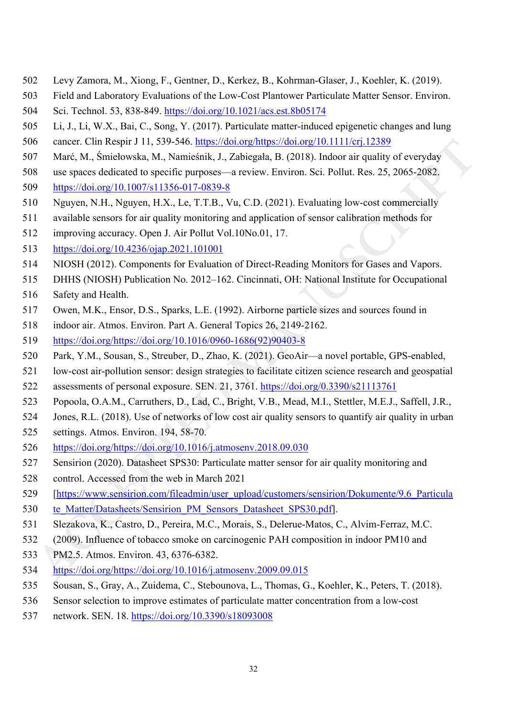- 502 Levy Zamora, M., Xiong, F., Gentner, D., Kerkez, B., Kohrman-Glaser, J., Koehler, K. (2019).
- 503 Field and Laboratory Evaluations of the Low-Cost Plantower Particulate Matter Sensor. Environ.
- 504 Sci. Technol. 53, 838-849.<https://doi.org/10.1021/acs.est.8b05174>
- 505 Li, J., Li, W.X., Bai, C., Song, Y. (2017). Particulate matter-induced epigenetic changes and lung
- 506 cancer. Clin Respir J 11, 539-546. [https://doi.org/https://doi.org/10.1111/crj.12389](https://doi.org/https:/doi.org/10.1111/crj.12389)
- 507 Marć, M., Śmiełowska, M., Namieśnik, J., Zabiegała, B. (2018). Indoor air quality of everyday
- 508 use spaces dedicated to specific purposes—a review. Environ. Sci. Pollut. Res. 25, 2065-2082. 509 <https://doi.org/10.1007/s11356-017-0839-8>
- 510 Nguyen, N.H., Nguyen, H.X., Le, T.T.B., Vu, C.D. (2021). Evaluating low-cost commercially
- 511 available sensors for air quality monitoring and application of sensor calibration methods for
- 512 improving accuracy. Open J. Air Pollut Vol.10No.01, 17.
- 513 <https://doi.org/10.4236/ojap.2021.101001>
- 514 NIOSH (2012). Components for Evaluation of Direct-Reading Monitors for Gases and Vapors.
- 515 DHHS (NIOSH) Publication No. 2012–162. Cincinnati, OH: National Institute for Occupational
- 516 Safety and Health.
- 517 Owen, M.K., Ensor, D.S., Sparks, L.E. (1992). Airborne particle sizes and sources found in
- 518 indoor air. Atmos. Environ. Part A. General Topics 26, 2149-2162.
- 519 [https://doi.org/https://doi.org/10.1016/0960-1686\(92\)90403-8](https://doi.org/https:/doi.org/10.1016/0960-1686(92)90403-8)
- 520 Park, Y.M., Sousan, S., Streuber, D., Zhao, K. (2021). GeoAir—a novel portable, GPS-enabled,
- 521 low-cost air-pollution sensor: design strategies to facilitate citizen science research and geospatial 522 assessments of personal exposure. SEN. 21, 3761. https://doi.org/0.3390/s21113761
- 523 Popoola, O.A.M., Carruthers, D., Lad, C., Bright, V.B., Mead, M.I., Stettler, M.E.J., Saffell, J.R.,
- 524 Jones, R.L. (2018). Use of networks of low cost air quality sensors to quantify air quality in urban
- 525 settings. Atmos. Environ. 194, 58-70.
- 526 https://doi.org/https://doi.org/10.1016/j.atmosenv.2018.09.030
- 527 Sensirion (2020). Datasheet SPS30: Particulate matter sensor for air quality monitoring and
- 528 control. Accessed from the web in March 2021
- 6 carrer. Clint Respir J 11, 539-546, https://doi.org/https://doi.org/http://doi.org/http://doi.org/http://doi.org/http://doi.org/http://doi.org/http://doi.org/http://doi.org/http://doi.org/http://doi.org/http://doi.org/ht 529 [\[https://www.sensirion.com/fileadmin/user\\_upload/customers/sensirion/Dokumente/9.6\\_Particula](https://www.sensirion.com/fileadmin/user_upload/customers/sensirion/Dokumente/9.6_Particulate_Matter/Datasheets/Sensirion_PM_Sensors_Datasheet_SPS30.pdf) 530 [te\\_Matter/Datasheets/Sensirion\\_PM\\_Sensors\\_Datasheet\\_SPS30.pdf\]](https://www.sensirion.com/fileadmin/user_upload/customers/sensirion/Dokumente/9.6_Particulate_Matter/Datasheets/Sensirion_PM_Sensors_Datasheet_SPS30.pdf).
- 531 Slezakova, K., Castro, D., Pereira, M.C., Morais, S., Delerue-Matos, C., Alvim-Ferraz, M.C.
- 532 (2009). Influence of tobacco smoke on carcinogenic PAH composition in indoor PM10 and
- 533 PM2.5. Atmos. Environ. 43, 6376-6382.
- 534 https://doi.org/https://doi.org/10.1016/j.atmosenv.2009.09.015
- 535 Sousan, S., Gray, A., Zuidema, C., Stebounova, L., Thomas, G., Koehler, K., Peters, T. (2018).
- 536 Sensor selection to improve estimates of particulate matter concentration from a low-cost
- 537 network. SEN. 18.<https://doi.org/10.3390/s18093008>